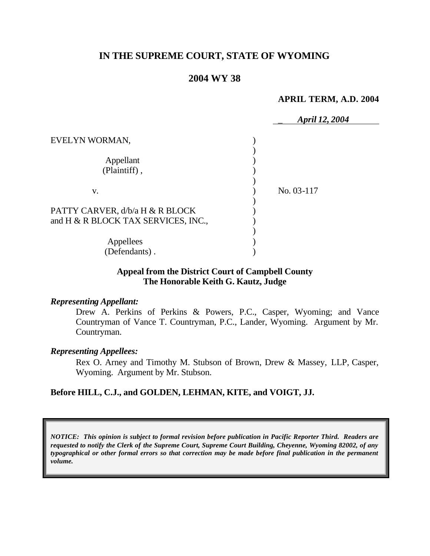# **IN THE SUPREME COURT, STATE OF WYOMING**

# **2004 WY 38**

#### **APRIL TERM, A.D. 2004**

|                                     | <b>April 12, 2004</b> |
|-------------------------------------|-----------------------|
| EVELYN WORMAN,                      |                       |
|                                     |                       |
| Appellant                           |                       |
| (Plaintiff),                        |                       |
|                                     |                       |
| V.                                  | No. 03-117            |
|                                     |                       |
| PATTY CARVER, d/b/a H & R BLOCK     |                       |
| and H & R BLOCK TAX SERVICES, INC., |                       |
|                                     |                       |
| Appellees                           |                       |
| (Defendants).                       |                       |

## **Appeal from the District Court of Campbell County The Honorable Keith G. Kautz, Judge**

### *Representing Appellant:*

Drew A. Perkins of Perkins & Powers, P.C., Casper, Wyoming; and Vance Countryman of Vance T. Countryman, P.C., Lander, Wyoming. Argument by Mr. Countryman.

## *Representing Appellees:*

Rex O. Arney and Timothy M. Stubson of Brown, Drew & Massey, LLP, Casper, Wyoming. Argument by Mr. Stubson.

## **Before HILL, C.J., and GOLDEN, LEHMAN, KITE, and VOIGT, JJ.**

*NOTICE: This opinion is subject to formal revision before publication in Pacific Reporter Third. Readers are requested to notify the Clerk of the Supreme Court, Supreme Court Building, Cheyenne, Wyoming 82002, of any typographical or other formal errors so that correction may be made before final publication in the permanent volume.*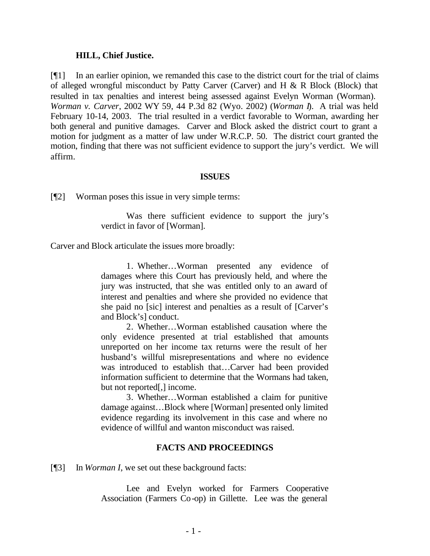#### **HILL, Chief Justice.**

[¶1] In an earlier opinion, we remanded this case to the district court for the trial of claims of alleged wrongful misconduct by Patty Carver (Carver) and H & R Block (Block) that resulted in tax penalties and interest being assessed against Evelyn Worman (Worman). *Worman v. Carver*, 2002 WY 59, 44 P.3d 82 (Wyo. 2002) (*Worman I*). A trial was held February 10-14, 2003. The trial resulted in a verdict favorable to Worman, awarding her both general and punitive damages. Carver and Block asked the district court to grant a motion for judgment as a matter of law under W.R.C.P. 50. The district court granted the motion, finding that there was not sufficient evidence to support the jury's verdict. We will affirm.

#### **ISSUES**

[¶2] Worman poses this issue in very simple terms:

Was there sufficient evidence to support the jury's verdict in favor of [Worman].

Carver and Block articulate the issues more broadly:

1. Whether…Worman presented any evidence of damages where this Court has previously held, and where the jury was instructed, that she was entitled only to an award of interest and penalties and where she provided no evidence that she paid no [sic] interest and penalties as a result of [Carver's and Block's] conduct.

2. Whether…Worman established causation where the only evidence presented at trial established that amounts unreported on her income tax returns were the result of her husband's willful misrepresentations and where no evidence was introduced to establish that…Carver had been provided information sufficient to determine that the Wormans had taken, but not reported[,] income.

3. Whether…Worman established a claim for punitive damage against…Block where [Worman] presented only limited evidence regarding its involvement in this case and where no evidence of willful and wanton misconduct was raised.

### **FACTS AND PROCEEDINGS**

[¶3] In *Worman I*, we set out these background facts:

Lee and Evelyn worked for Farmers Cooperative Association (Farmers Co-op) in Gillette. Lee was the general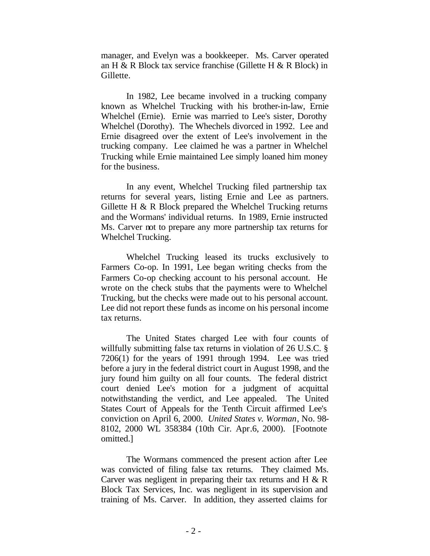manager, and Evelyn was a bookkeeper. Ms. Carver operated an H & R Block tax service franchise (Gillette H & R Block) in Gillette.

In 1982, Lee became involved in a trucking company known as Whelchel Trucking with his brother-in-law, Ernie Whelchel (Ernie). Ernie was married to Lee's sister, Dorothy Whelchel (Dorothy). The Whechels divorced in 1992. Lee and Ernie disagreed over the extent of Lee's involvement in the trucking company. Lee claimed he was a partner in Whelchel Trucking while Ernie maintained Lee simply loaned him money for the business.

In any event, Whelchel Trucking filed partnership tax returns for several years, listing Ernie and Lee as partners. Gillette H & R Block prepared the Whelchel Trucking returns and the Wormans' individual returns. In 1989, Ernie instructed Ms. Carver not to prepare any more partnership tax returns for Whelchel Trucking.

Whelchel Trucking leased its trucks exclusively to Farmers Co-op. In 1991, Lee began writing checks from the Farmers Co-op checking account to his personal account. He wrote on the check stubs that the payments were to Whelchel Trucking, but the checks were made out to his personal account. Lee did not report these funds as income on his personal income tax returns.

The United States charged Lee with four counts of willfully submitting false tax returns in violation of 26 U.S.C. § 7206(1) for the years of 1991 through 1994. Lee was tried before a jury in the federal district court in August 1998, and the jury found him guilty on all four counts. The federal district court denied Lee's motion for a judgment of acquittal notwithstanding the verdict, and Lee appealed. The United States Court of Appeals for the Tenth Circuit affirmed Lee's conviction on April 6, 2000. *United States v. Worman*, No. 98- 8102, 2000 WL 358384 (10th Cir. Apr.6, 2000). [Footnote omitted.]

The Wormans commenced the present action after Lee was convicted of filing false tax returns. They claimed Ms. Carver was negligent in preparing their tax returns and H & R Block Tax Services, Inc. was negligent in its supervision and training of Ms. Carver. In addition, they asserted claims for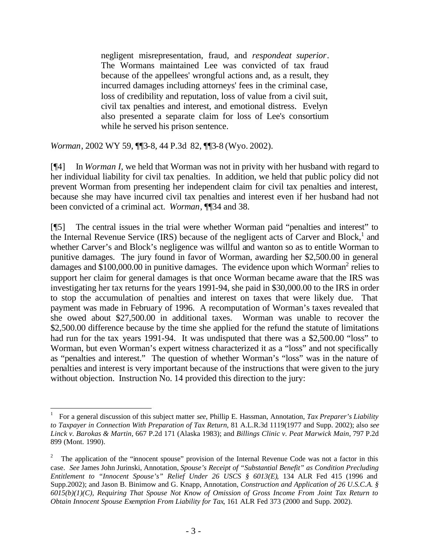negligent misrepresentation, fraud, and *respondeat superior*. The Wormans maintained Lee was convicted of tax fraud because of the appellees' wrongful actions and, as a result, they incurred damages including attorneys' fees in the criminal case, loss of credibility and reputation, loss of value from a civil suit, civil tax penalties and interest, and emotional distress. Evelyn also presented a separate claim for loss of Lee's consortium while he served his prison sentence.

*Worman*, 2002 WY 59, ¶¶3-8, 44 P.3d 82, ¶¶3-8 (Wyo. 2002).

l

[¶4] In *Worman I*, we held that Worman was not in privity with her husband with regard to her individual liability for civil tax penalties. In addition, we held that public policy did not prevent Worman from presenting her independent claim for civil tax penalties and interest, because she may have incurred civil tax penalties and interest even if her husband had not been convicted of a criminal act. *Worman*, ¶¶34 and 38.

[¶5] The central issues in the trial were whether Worman paid "penalties and interest" to the Internal Revenue Service (IRS) because of the negligent acts of Carver and Block,<sup>1</sup> and whether Carver's and Block's negligence was willful and wanton so as to entitle Worman to punitive damages. The jury found in favor of Worman, awarding her \$2,500.00 in general damages and  $$100,000.00$  in punitive damages. The evidence upon which Worman<sup>2</sup> relies to support her claim for general damages is that once Worman became aware that the IRS was investigating her tax returns for the years 1991-94, she paid in \$30,000.00 to the IRS in order to stop the accumulation of penalties and interest on taxes that were likely due. That payment was made in February of 1996. A recomputation of Worman's taxes revealed that she owed about \$27,500.00 in additional taxes. Worman was unable to recover the \$2,500.00 difference because by the time she applied for the refund the statute of limitations had run for the tax years 1991-94. It was undisputed that there was a \$2,500.00 "loss" to Worman, but even Worman's expert witness characterized it as a "loss" and not specifically as "penalties and interest." The question of whether Worman's "loss" was in the nature of penalties and interest is very important because of the instructions that were given to the jury without objection. Instruction No. 14 provided this direction to the jury:

<sup>1</sup> For a general discussion of this subject matter *see*, Phillip E. Hassman, Annotation, *Tax Preparer's Liability to Taxpayer in Connection With Preparation of Tax Return*, 81 A.L.R.3d 1119(1977 and Supp. 2002); also *see Linck v. Barokas & Martin*, 667 P.2d 171 (Alaska 1983); and *Billings Clinic v. Peat Marwick Main*, 797 P.2d 899 (Mont. 1990).

<sup>2</sup> The application of the "innocent spouse" provision of the Internal Revenue Code was not a factor in this case. *See* James John Jurinski, Annotation, *Spouse's Receipt of "Substantial Benefit" as Condition Precluding Entitlement to "Innocent Spouse's" Relief Under 26 USCS § 6013(E)*, 134 ALR Fed 415 (1996 and Supp.2002); and Jason B. Binimow and G. Knapp, Annotation, *Construction and Application of 26 U.S.C.A. § 6015(b)(1)(C), Requiring That Spouse Not Know of Omission of Gross Income From Joint Tax Return to Obtain Innocent Spouse Exemption From Liability for Tax*, 161 ALR Fed 373 (2000 and Supp. 2002).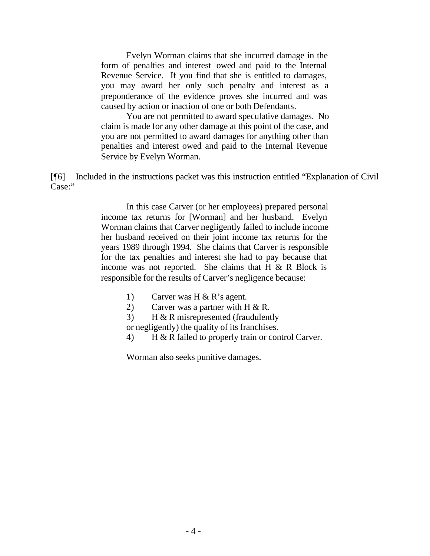Evelyn Worman claims that she incurred damage in the form of penalties and interest owed and paid to the Internal Revenue Service. If you find that she is entitled to damages, you may award her only such penalty and interest as a preponderance of the evidence proves she incurred and was caused by action or inaction of one or both Defendants.

You are not permitted to award speculative damages. No claim is made for any other damage at this point of the case, and you are not permitted to award damages for anything other than penalties and interest owed and paid to the Internal Revenue Service by Evelyn Worman.

[¶6] Included in the instructions packet was this instruction entitled "Explanation of Civil Case:"

> In this case Carver (or her employees) prepared personal income tax returns for [Worman] and her husband. Evelyn Worman claims that Carver negligently failed to include income her husband received on their joint income tax returns for the years 1989 through 1994. She claims that Carver is responsible for the tax penalties and interest she had to pay because that income was not reported. She claims that  $H \& R$  Block is responsible for the results of Carver's negligence because:

- 1) Carver was H & R's agent.
- 2) Carver was a partner with H & R.
- 3) H & R misrepresented (fraudulently
- or negligently) the quality of its franchises.
- 4) H & R failed to properly train or control Carver.

Worman also seeks punitive damages.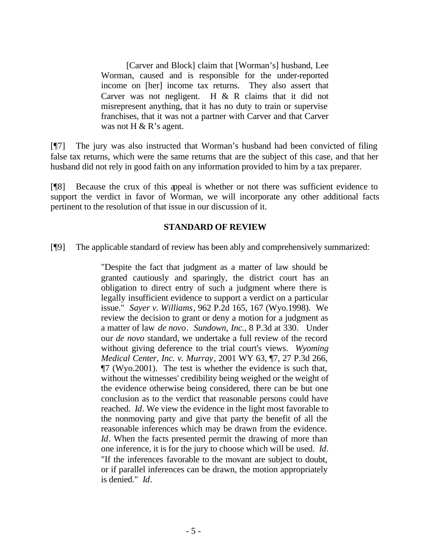[Carver and Block] claim that [Worman's] husband, Lee Worman, caused and is responsible for the under-reported income on [her] income tax returns. They also assert that Carver was not negligent. H & R claims that it did not misrepresent anything, that it has no duty to train or supervise franchises, that it was not a partner with Carver and that Carver was not H  $\&$  R's agent.

[¶7] The jury was also instructed that Worman's husband had been convicted of filing false tax returns, which were the same returns that are the subject of this case, and that her husband did not rely in good faith on any information provided to him by a tax preparer.

[¶8] Because the crux of this appeal is whether or not there was sufficient evidence to support the verdict in favor of Worman, we will incorporate any other additional facts pertinent to the resolution of that issue in our discussion of it.

## **STANDARD OF REVIEW**

[¶9] The applicable standard of review has been ably and comprehensively summarized:

"Despite the fact that judgment as a matter of law should be granted cautiously and sparingly, the district court has an obligation to direct entry of such a judgment where there is legally insufficient evidence to support a verdict on a particular issue." *Sayer v. Williams*, 962 P.2d 165, 167 (Wyo.1998). We review the decision to grant or deny a motion for a judgment as a matter of law *de novo*. *Sundown, Inc.*, 8 P.3d at 330. Under our *de novo* standard, we undertake a full review of the record without giving deference to the trial court's views. *Wyoming Medical Center, Inc. v. Murray*, 2001 WY 63, ¶7, 27 P.3d 266, ¶7 (Wyo.2001). The test is whether the evidence is such that, without the witnesses' credibility being weighed or the weight of the evidence otherwise being considered, there can be but one conclusion as to the verdict that reasonable persons could have reached. *Id*. We view the evidence in the light most favorable to the nonmoving party and give that party the benefit of all the reasonable inferences which may be drawn from the evidence. *Id*. When the facts presented permit the drawing of more than one inference, it is for the jury to choose which will be used. *Id*. "If the inferences favorable to the movant are subject to doubt, or if parallel inferences can be drawn, the motion appropriately is denied." *Id*.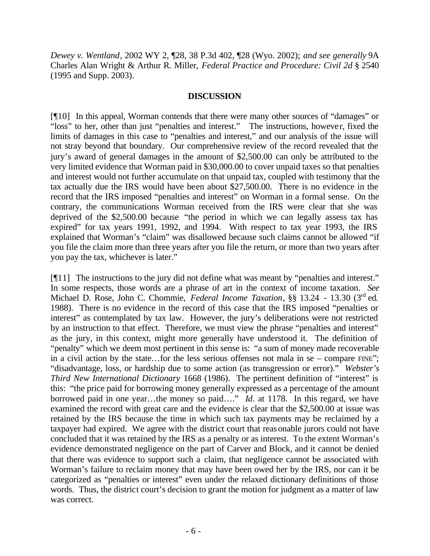*Dewey v. Wentland*, 2002 WY 2, ¶28, 38 P.3d 402, ¶28 (Wyo. 2002); *and see generally* 9A Charles Alan Wright & Arthur R. Miller, *Federal Practice and Procedure: Civil 2d* § 2540 (1995 and Supp. 2003).

### **DISCUSSION**

[¶10] In this appeal, Worman contends that there were many other sources of "damages" or "loss" to her, other than just "penalties and interest." The instructions, however, fixed the limits of damages in this case to "penalties and interest," and our analysis of the issue will not stray beyond that boundary. Our comprehensive review of the record revealed that the jury's award of general damages in the amount of \$2,500.00 can only be attributed to the very limited evidence that Worman paid in \$30,000.00 to cover unpaid taxes so that penalties and interest would not further accumulate on that unpaid tax, coupled with testimony that the tax actually due the IRS would have been about \$27,500.00. There is no evidence in the record that the IRS imposed "penalties and interest" on Worman in a formal sense. On the contrary, the communications Worman received from the IRS were clear that she was deprived of the \$2,500.00 because "the period in which we can legally assess tax has expired" for tax years 1991, 1992, and 1994. With respect to tax year 1993, the IRS explained that Worman's "claim" was disallowed because such claims cannot be allowed "if you file the claim more than three years after you file the return, or more than two years after you pay the tax, whichever is later."

[¶11] The instructions to the jury did not define what was meant by "penalties and interest." In some respects, those words are a phrase of art in the context of income taxation. *See* Michael D. Rose, John C. Chommie, *Federal Income Taxation*, §§ 13.24 - 13.30 (3rd ed. 1988). There is no evidence in the record of this case that the IRS imposed "penalties or interest" as contemplated by tax law. However, the jury's deliberations were not restricted by an instruction to that effect. Therefore, we must view the phrase "penalties and interest" as the jury, in this context, might more generally have understood it. The definition of "penalty" which we deem most pertinent in this sense is: "a sum of money made recoverable in a civil action by the state…for the less serious offenses not mala in se – compare FINE"; "disadvantage, loss, or hardship due to some action (as transgression or error)." *Webster's Third New International Dictionary* 1668 (1986). The pertinent definition of "interest" is this: "the price paid for borrowing money generally expressed as a percentage of the amount borrowed paid in one year…the money so paid…." *Id*. at 1178. In this regard, we have examined the record with great care and the evidence is clear that the \$2,500.00 at issue was retained by the IRS because the time in which such tax payments may be reclaimed by a taxpayer had expired. We agree with the district court that reasonable jurors could not have concluded that it was retained by the IRS as a penalty or as interest. To the extent Worman's evidence demonstrated negligence on the part of Carver and Block, and it cannot be denied that there was evidence to support such a claim, that negligence cannot be associated with Worman's failure to reclaim money that may have been owed her by the IRS, nor can it be categorized as "penalties or interest" even under the relaxed dictionary definitions of those words. Thus, the district court's decision to grant the motion for judgment as a matter of law was correct.